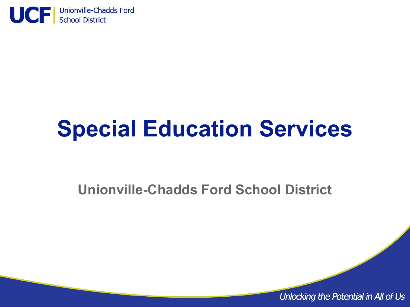

# **Special Education Services**

**Unionville-Chadds Ford School District**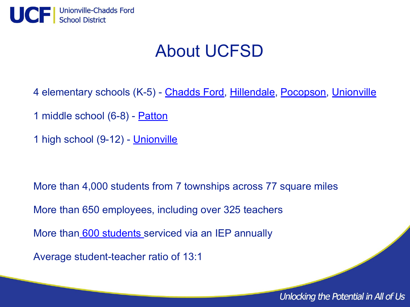

#### About UCFSD

4 elementary schools (K-5) - [Chadds Ford,](http://cfes.ucfsd.org/) [Hillendale,](http://hes.ucfsd.org/) [Pocopson,](http://pes.ucfsd.org/) [Unionville](http://ues.ucfsd.org/)

1 middle school (6-8) - [Patton](http://cfpms.ucfsd.org/)

1 high school (9-12) - [Unionville](http://uhs.ucfsd.org/)

More than 4,000 students from 7 townships across 77 square miles

More than 650 employees, including over 325 teachers

More than [600 students s](https://penndata.hbg.psu.edu/penndata/documents/BSEReports/Data%20Preview/2020-2021/PDF_Documents/Speced_Quick_Report_SD446_Final.pdf)erviced via an IEP annually

Average student-teacher ratio of 13:1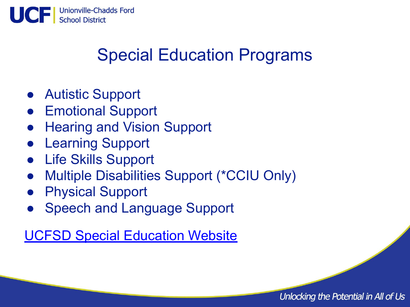

## Special Education Programs

- Autistic Support
- Emotional Support
- **Hearing and Vision Support**
- **Learning Support**
- Life Skills Support
- Multiple Disabilities Support (\*CCIU Only)
- **Physical Support**
- **Speech and Language Support**

[UCFSD Special Education Website](https://www.ucfsd.org/departments/special-education)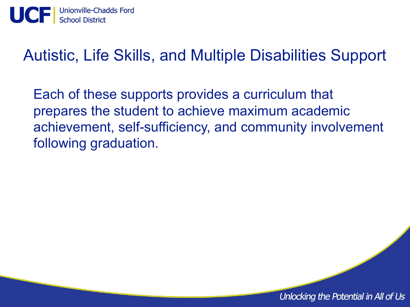

#### Autistic, Life Skills, and Multiple Disabilities Support

Each of these supports provides a curriculum that prepares the student to achieve maximum academic achievement, self-sufficiency, and community involvement following graduation.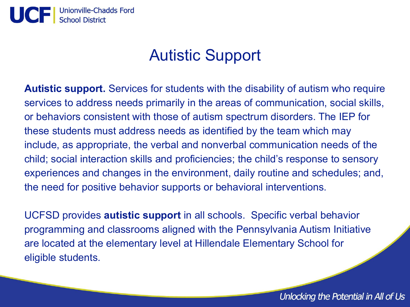

#### Autistic Support

**Autistic support.** Services for students with the disability of autism who require services to address needs primarily in the areas of communication, social skills, or behaviors consistent with those of autism spectrum disorders. The IEP for these students must address needs as identified by the team which may include, as appropriate, the verbal and nonverbal communication needs of the child; social interaction skills and proficiencies; the child's response to sensory experiences and changes in the environment, daily routine and schedules; and, the need for positive behavior supports or behavioral interventions.

UCFSD provides **autistic support** in all schools. Specific verbal behavior programming and classrooms aligned with the Pennsylvania Autism Initiative are located at the elementary level at Hillendale Elementary School for eligible students.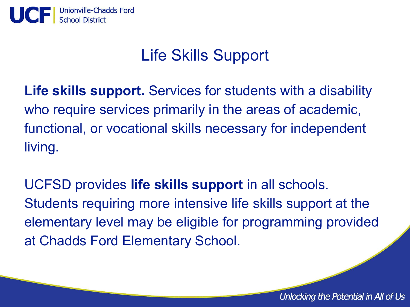

#### Life Skills Support

**Life skills support.** Services for students with a disability who require services primarily in the areas of academic, functional, or vocational skills necessary for independent living.

UCFSD provides **life skills support** in all schools. Students requiring more intensive life skills support at the elementary level may be eligible for programming provided at Chadds Ford Elementary School.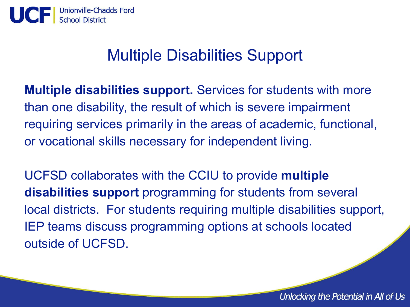

#### Multiple Disabilities Support

**Multiple disabilities support.** Services for students with more than one disability, the result of which is severe impairment requiring services primarily in the areas of academic, functional, or vocational skills necessary for independent living.

UCFSD collaborates with the CCIU to provide **multiple disabilities support** programming for students from several local districts. For students requiring multiple disabilities support, IEP teams discuss programming options at schools located outside of UCFSD.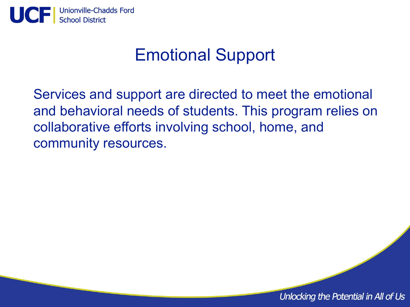

#### Emotional Support

Services and support are directed to meet the emotional and behavioral needs of students. This program relies on collaborative efforts involving school, home, and community resources.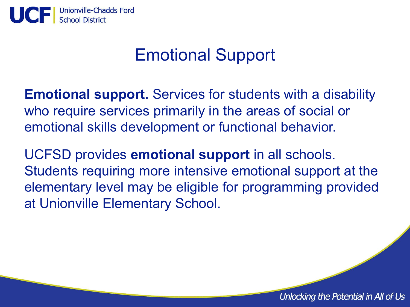

#### Emotional Support

**Emotional support.** Services for students with a disability who require services primarily in the areas of social or emotional skills development or functional behavior.

UCFSD provides **emotional support** in all schools. Students requiring more intensive emotional support at the elementary level may be eligible for programming provided at Unionville Elementary School.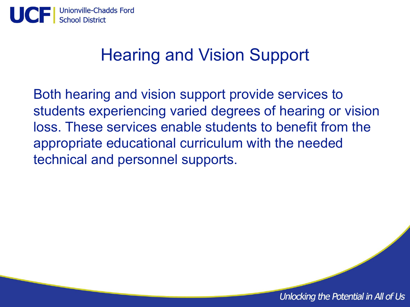

#### Hearing and Vision Support

Both hearing and vision support provide services to students experiencing varied degrees of hearing or vision loss. These services enable students to benefit from the appropriate educational curriculum with the needed technical and personnel supports.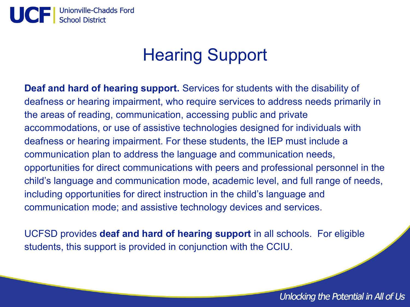

## Hearing Support

**Deaf and hard of hearing support.** Services for students with the disability of deafness or hearing impairment, who require services to address needs primarily in the areas of reading, communication, accessing public and private accommodations, or use of assistive technologies designed for individuals with deafness or hearing impairment. For these students, the IEP must include a communication plan to address the language and communication needs, opportunities for direct communications with peers and professional personnel in the child's language and communication mode, academic level, and full range of needs, including opportunities for direct instruction in the child's language and communication mode; and assistive technology devices and services.

UCFSD provides **deaf and hard of hearing support** in all schools. For eligible students, this support is provided in conjunction with the CCIU.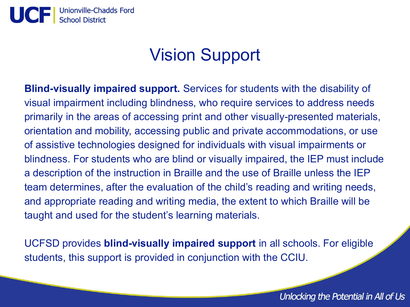

#### Vision Support

**Blind-visually impaired support.** Services for students with the disability of visual impairment including blindness, who require services to address needs primarily in the areas of accessing print and other visually-presented materials, orientation and mobility, accessing public and private accommodations, or use of assistive technologies designed for individuals with visual impairments or blindness. For students who are blind or visually impaired, the IEP must include a description of the instruction in Braille and the use of Braille unless the IEP team determines, after the evaluation of the child's reading and writing needs, and appropriate reading and writing media, the extent to which Braille will be taught and used for the student's learning materials.

UCFSD provides **blind-visually impaired support** in all schools. For eligible students, this support is provided in conjunction with the CCIU.

Unlocking the Potential in All of Us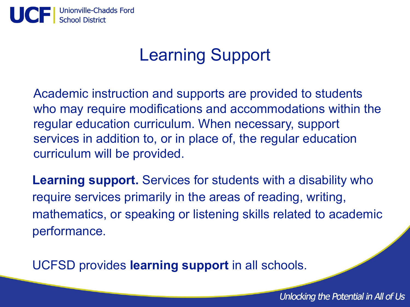

#### Learning Support

Academic instruction and supports are provided to students who may require modifications and accommodations within the regular education curriculum. When necessary, support services in addition to, or in place of, the regular education curriculum will be provided.

**Learning support.** Services for students with a disability who require services primarily in the areas of reading, writing, mathematics, or speaking or listening skills related to academic performance.

UCFSD provides **learning support** in all schools.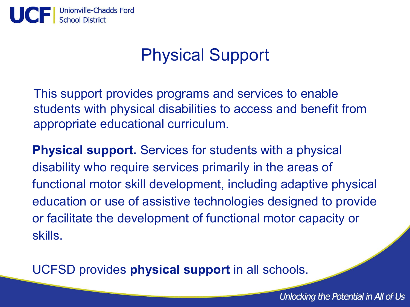

#### Physical Support

This support provides programs and services to enable students with physical disabilities to access and benefit from appropriate educational curriculum.

**Physical support.** Services for students with a physical disability who require services primarily in the areas of functional motor skill development, including adaptive physical education or use of assistive technologies designed to provide or facilitate the development of functional motor capacity or skills.

UCFSD provides **physical support** in all schools.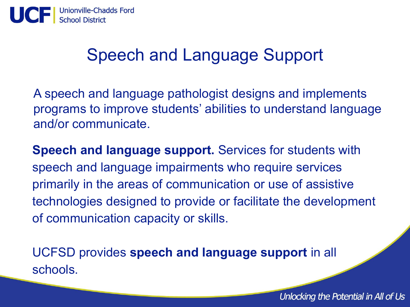

#### Speech and Language Support

A speech and language pathologist designs and implements programs to improve students' abilities to understand language and/or communicate.

**Speech and language support.** Services for students with speech and language impairments who require services primarily in the areas of communication or use of assistive technologies designed to provide or facilitate the development of communication capacity or skills.

UCFSD provides **speech and language support** in all schools.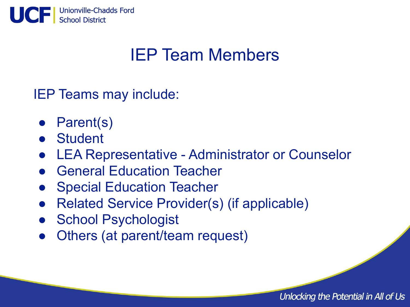

## IEP Team Members

IEP Teams may include:

- Parent(s)
- Student
- LEA Representative Administrator or Counselor
- General Education Teacher
- Special Education Teacher
- **Related Service Provider(s) (if applicable)**
- School Psychologist
- Others (at parent/team request)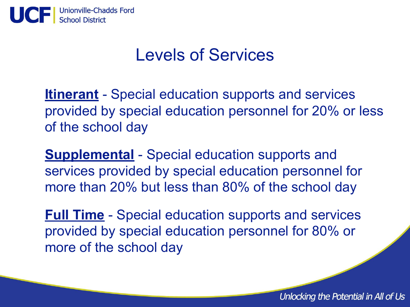

#### Levels of Services

**Itinerant** - Special education supports and services provided by special education personnel for 20% or less of the school day

**Supplemental** - Special education supports and services provided by special education personnel for more than 20% but less than 80% of the school day

**Full Time** - Special education supports and services provided by special education personnel for 80% or more of the school day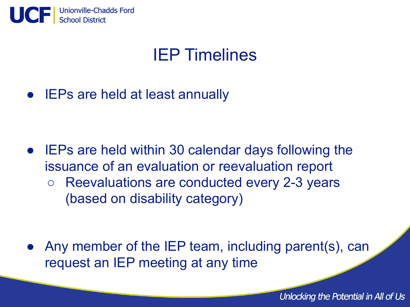

#### IEP Timelines

● IEPs are held at least annually

- IEPs are held within 30 calendar days following the issuance of an evaluation or reevaluation report
	- Reevaluations are conducted every 2-3 years (based on disability category)

Any member of the IEP team, including parent(s), can request an IEP meeting at any time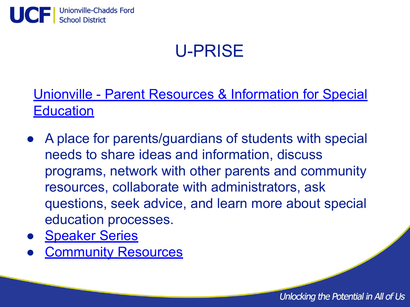

# U-PRISE

[Unionville - Parent Resources & Information for Special](https://www.ucfsd.org/departments/special-education/u-prise) **[Education](https://www.ucfsd.org/departments/special-education/u-prise)** 

- A place for parents/guardians of students with special needs to share ideas and information, discuss programs, network with other parents and community resources, collaborate with administrators, ask questions, seek advice, and learn more about special education processes.
- [Speaker Series](https://www.ucfsd.org/departments/special-education/u-prise/speaker-series)
- **[Community Resources](https://www.ucfsd.org/departments/special-education/u-prise/resources)**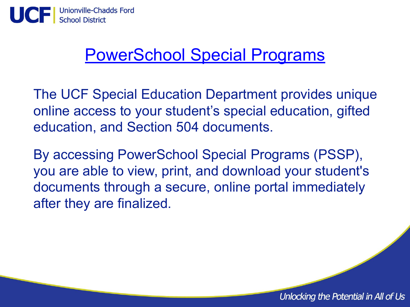

#### [PowerSchool Special Programs](https://www.ucfsd.org/departments/special-education/pssp)

The UCF Special Education Department provides unique online access to your student's special education, gifted education, and Section 504 documents.

By accessing PowerSchool Special Programs (PSSP), you are able to view, print, and download your student's documents through a secure, online portal immediately after they are finalized.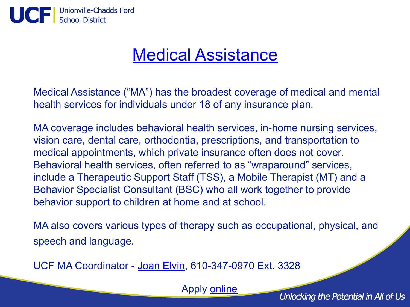

#### [Medical Assistance](https://www.ucfsd.org/departments/special-education/medical-access)

Medical Assistance ("MA") has the broadest coverage of medical and mental health services for individuals under 18 of any insurance plan.

MA coverage includes behavioral health services, in-home nursing services, vision care, dental care, orthodontia, prescriptions, and transportation to medical appointments, which private insurance often does not cover. Behavioral health services, often referred to as "wraparound" services, include a Therapeutic Support Staff (TSS), a Mobile Therapist (MT) and a Behavior Specialist Consultant (BSC) who all work together to provide behavior support to children at home and at school.

MA also covers various types of therapy such as occupational, physical, and speech and language.

UCF MA Coordinator - [Joan Elvin,](mailto:jelvin@ucfsd.net) 610-347-0970 Ext. 3328

Apply [online](https://www.compass.state.pa.us/Compass.Web/Public/CMPHome)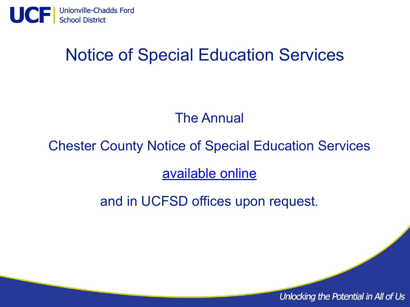

#### Notice of Special Education Services

#### The Annual

#### Chester County Notice of Special Education Services

[available online](https://resources.finalsite.net/images/v1623249256/ucfsdorg/x4o3jwsm3f6u9roklh4b/NoticeofSpecEd2021R.pdf)

and in UCFSD offices upon request.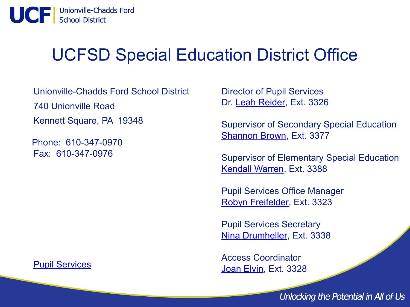

#### UCFSD Special Education District Office

Unionville-Chadds Ford School District 740 Unionville Road Kennett Square, PA 19348

 Phone: 610-347-0970 Fax: 610-347-0976

Director of Pupil Services Dr. [Leah Reider,](mailto:lreider@ucfsd.net) Ext. 3326

Supervisor of Secondary Special Education [Shannon Brown,](mailto:srbrown@ucfsd.net) Ext. 3377

Supervisor of Elementary Special Education [Kendall Warren](mailto:kwarren@ucfsd.net), Ext. 3388

Pupil Services Office Manager [Robyn Freifelder,](mailto:rfreifelder@ucfsd.net) Ext. 3323

Pupil Services Secretary [Nina Drumheller](mailto:ndrumheller@ucfsd.net), Ext. 3338

Access Coordinator [Joan Elvin,](mailto:jelvin@ucfsd.net) Ext. 3328

Unlocking the Potential in All of Us

#### [Pupil Services](https://www.ucfsd.org/departments/pupil-services)